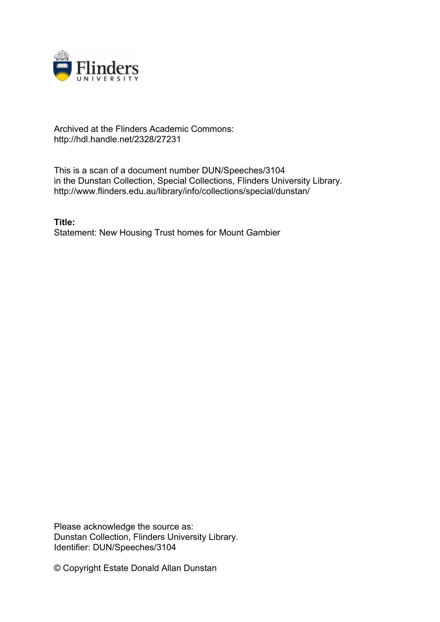

## Archived at the Flinders Academic Commons: http://hdl.handle.net/2328/27231

This is a scan of a document number DUN/Speeches/3104 in the Dunstan Collection, Special Collections, Flinders University Library. http://www.flinders.edu.au/library/info/collections/special/dunstan/

**Title:** Statement: New Housing Trust homes for Mount Gambier

Please acknowledge the source as: Dunstan Collection, Flinders University Library. Identifier: DUN/Speeches/3104

© Copyright Estate Donald Allan Dunstan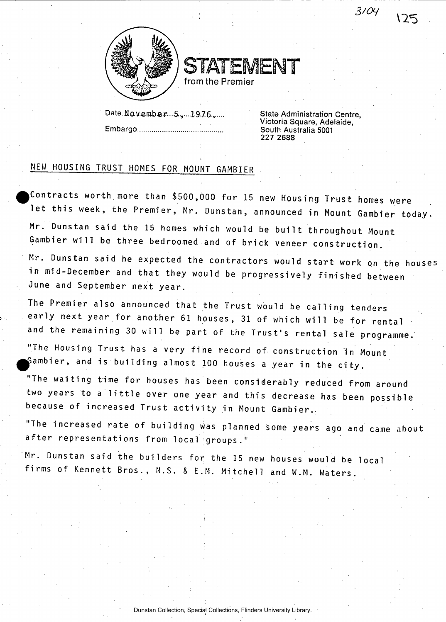

STATEMENT from the Premier

**Date.Naveinber...S.)....1.9.76-v " State Administration Centre, Embargo South Australia 5001** 

**Victoria Square, Adelaide, 227 2688** 

 $3104$ 

いち

## NEW HOUSING TRUST HOMES FOR MOUNT GAMBIER

Contracts worth more than \$500,000 for 15 new Housing Trust homes were let this week, the Premier, Mr. Dunstan, announced in Mount Gambier today. Mr. Dunstan said the 15 homes which would be built throughout Mount Gambier will be three bedroomed and of brick veneer construction.

Mr. Dunstan said he expected the contractors would start work on the houses in mid-December and that they would be progressively finished between June and September next year.

The Premier also announced that the Trust would be calling tenders early next year for another 61 houses, 31 of which will be for rental and the remaining 30 will be part of the Trust's rental sale programme.

"The Housing Trust has a very fine record of construction in Mount Gambier, and is building almost  $100$  houses a year in the city.

"The waiting time for houses has been considerably reduced from around two years to a little over one year and this decrease has been possible because of increased Trust activity in Mount Gambier.

"The increased rate of building was planned some years ago and came about after representations from local groups."

Mr. Dunstan said the builders for the 15 new houses would be local firms of Kennett Bros., N.S. & E.M. Mitchell and W.M. Waters.